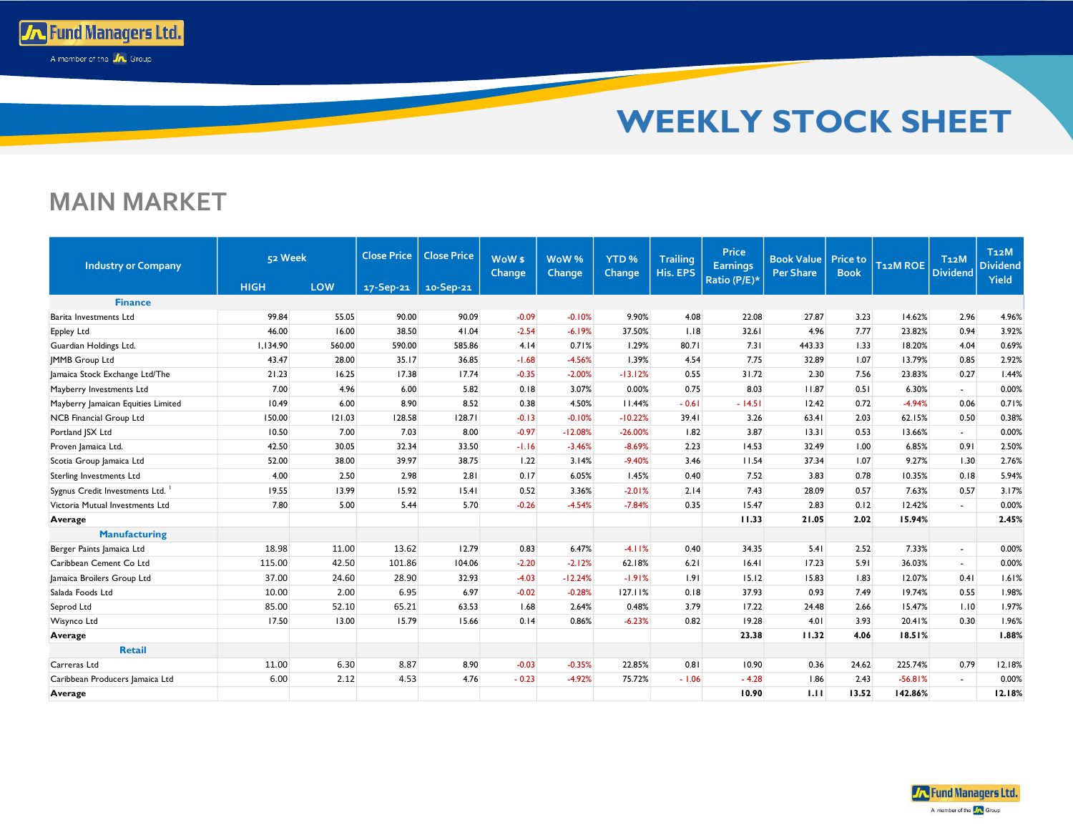

## **MAIN MARKET**

**To Fund Managers Ltd.** A member of the **A** Group

| <b>Industry or Company</b>         | 52 Week     |        | <b>Close Price</b> | <b>Close Price</b><br>WoW <sub>\$</sub><br><b>Change</b> |         | WoW%<br><b>Change</b> | YTD <sub>%</sub><br><b>Change</b> | <b>Trailing</b><br>His. EPS | <b>Price</b><br><b>Earnings</b> | <b>Book Value</b><br><b>Per Share</b> | <b>Price to</b><br><b>Book</b> | T <sub>12</sub> M ROE | T <sub>12</sub> M<br><b>Dividend</b> | T <sub>12</sub> M<br><b>Dividend</b><br><b>Yield</b> |
|------------------------------------|-------------|--------|--------------------|----------------------------------------------------------|---------|-----------------------|-----------------------------------|-----------------------------|---------------------------------|---------------------------------------|--------------------------------|-----------------------|--------------------------------------|------------------------------------------------------|
|                                    | <b>HIGH</b> | LOW    | 17-Sep-21          | 10-Sep-21                                                |         |                       |                                   |                             | Ratio (P/E)*                    |                                       |                                |                       |                                      |                                                      |
| <b>Finance</b>                     |             |        |                    |                                                          |         |                       |                                   |                             |                                 |                                       |                                |                       |                                      |                                                      |
| Barita Investments Ltd             | 99.84       | 55.05  | 90.00              | 90.09                                                    | $-0.09$ | $-0.10%$              | 9.90%                             | 4.08                        | 22.08                           | 27.87                                 | 3.23                           | 14.62%                | 2.96                                 | 4.96%                                                |
| <b>Eppley Ltd</b>                  | 46.00       | 16.00  | 38.50              | 41.04                                                    | $-2.54$ | $-6.19%$              | 37.50%                            | 1.18                        | 32.61                           | 4.96                                  | 7.77                           | 23.82%                | 0.94                                 | 3.92%                                                |
| Guardian Holdings Ltd.             | 1,134.90    | 560.00 | 590.00             | 585.86                                                   | 4.14    | 0.71%                 | 1.29%                             | 80.71                       | 7.31                            | 443.33                                | 1.33                           | 18.20%                | 4.04                                 | 0.69%                                                |
| <b>IMMB Group Ltd</b>              | 43.47       | 28.00  | 35.17              | 36.85                                                    | $-1.68$ | $-4.56%$              | 1.39%                             | 4.54                        | 7.75                            | 32.89                                 | 1.07                           | 13.79%                | 0.85                                 | 2.92%                                                |
| Jamaica Stock Exchange Ltd/The     | 21.23       | 16.25  | 17.38              | 17.74                                                    | $-0.35$ | $-2.00%$              | $-13.12%$                         | 0.55                        | 31.72                           | 2.30                                  | 7.56                           | 23.83%                | 0.27                                 | 1.44%                                                |
| Mayberry Investments Ltd           | 7.00        | 4.96   | 6.00               | 5.82                                                     | 0.18    | 3.07%                 | 0.00%                             | 0.75                        | 8.03                            | 11.87                                 | 0.51                           | 6.30%                 | ÷.                                   | 0.00%                                                |
| Mayberry Jamaican Equities Limited | 10.49       | 6.00   | 8.90               | 8.52                                                     | 0.38    | 4.50%                 | 11.44%                            | $-0.61$                     | $-14.51$                        | 12.42                                 | 0.72                           | $-4.94%$              | 0.06                                 | 0.71%                                                |
| <b>NCB Financial Group Ltd</b>     | 150.00      | 121.03 | 128.58             | 128.71                                                   | $-0.13$ | $-0.10%$              | $-10.22%$                         | 39.41                       | 3.26                            | 63.41                                 | 2.03                           | 62.15%                | 0.50                                 | 0.38%                                                |
| Portland JSX Ltd                   | 10.50       | 7.00   | 7.03               | 8.00                                                     | $-0.97$ | $-12.08%$             | $-26.00%$                         | 1.82                        | 3.87                            | 13.31                                 | 0.53                           | 13.66%                | ÷.                                   | 0.00%                                                |
| Proven Jamaica Ltd.                | 42.50       | 30.05  | 32.34              | 33.50                                                    | $-1.16$ | $-3.46%$              | $-8.69%$                          | 2.23                        | 14.53                           | 32.49                                 | 1.00                           | 6.85%                 | 0.91                                 | 2.50%                                                |
| Scotia Group Jamaica Ltd           | 52.00       | 38.00  | 39.97              | 38.75                                                    | 1.22    | 3.14%                 | $-9.40%$                          | 3.46                        | 11.54                           | 37.34                                 | 1.07                           | 9.27%                 | 1.30                                 | 2.76%                                                |
| <b>Sterling Investments Ltd</b>    | 4.00        | 2.50   | 2.98               | 2.81                                                     | 0.17    | 6.05%                 | 1.45%                             | 0.40                        | 7.52                            | 3.83                                  | 0.78                           | 10.35%                | 0.18                                 | 5.94%                                                |
| Sygnus Credit Investments Ltd.     | 19.55       | 13.99  | 15.92              | 15.41                                                    | 0.52    | 3.36%                 | $-2.01%$                          | 2.14                        | 7.43                            | 28.09                                 | 0.57                           | 7.63%                 | 0.57                                 | 3.17%                                                |
| Victoria Mutual Investments Ltd    | 7.80        | 5.00   | 5.44               | 5.70                                                     | $-0.26$ | $-4.54%$              | $-7.84%$                          | 0.35                        | 15.47                           | 2.83                                  | 0.12                           | 12.42%                | $\blacksquare$                       | 0.00%                                                |
| Average                            |             |        |                    |                                                          |         |                       |                                   |                             | 11.33                           | 21.05                                 | 2.02                           | 15.94%                |                                      | 2.45%                                                |
| <b>Manufacturing</b>               |             |        |                    |                                                          |         |                       |                                   |                             |                                 |                                       |                                |                       |                                      |                                                      |
| Berger Paints Jamaica Ltd          | 18.98       | 11.00  | 13.62              | 12.79                                                    | 0.83    | 6.47%                 | $-4.11%$                          | 0.40                        | 34.35                           | 5.41                                  | 2.52                           | 7.33%                 | $\sim$                               | 0.00%                                                |
| Caribbean Cement Co Ltd            | 115.00      | 42.50  | 101.86             | 104.06                                                   | $-2.20$ | $-2.12%$              | 62.18%                            | 6.21                        | 16.41                           | 17.23                                 | 5.91                           | 36.03%                | $\sim$                               | 0.00%                                                |
| Jamaica Broilers Group Ltd         | 37.00       | 24.60  | 28.90              | 32.93                                                    | $-4.03$ | $-12.24%$             | $-1.91%$                          | 1.91                        | 15.12                           | 15.83                                 | 1.83                           | 12.07%                | 0.41                                 | 1.61%                                                |
| Salada Foods Ltd                   | 10.00       | 2.00   | 6.95               | 6.97                                                     | $-0.02$ | $-0.28%$              | 127.11%                           | 0.18                        | 37.93                           | 0.93                                  | 7.49                           | 19.74%                | 0.55                                 | 1.98%                                                |
| Seprod Ltd                         | 85.00       | 52.10  | 65.21              | 63.53                                                    | 1.68    | 2.64%                 | 0.48%                             | 3.79                        | 17.22                           | 24.48                                 | 2.66                           | 15.47%                | 1.10                                 | 1.97%                                                |
| Wisynco Ltd                        | 17.50       | 13.00  | 15.79              | 15.66                                                    | 0.14    | 0.86%                 | $-6.23%$                          | 0.82                        | 19.28                           | 4.01                                  | 3.93                           | 20.41%                | 0.30                                 | 1.96%                                                |
| Average                            |             |        |                    |                                                          |         |                       |                                   |                             | 23.38                           | 11.32                                 | 4.06                           | 18.51%                |                                      | 1.88%                                                |
| <b>Retail</b>                      |             |        |                    |                                                          |         |                       |                                   |                             |                                 |                                       |                                |                       |                                      |                                                      |
| Carreras Ltd                       | 11.00       | 6.30   | 8.87               | 8.90                                                     | $-0.03$ | $-0.35%$              | 22.85%                            | 0.81                        | 10.90                           | 0.36                                  | 24.62                          | 225.74%               | 0.79                                 | 12.18%                                               |
| Caribbean Producers Jamaica Ltd    | 6.00        | 2.12   | 4.53               | 4.76                                                     | $-0.23$ | $-4.92%$              | 75.72%                            | $-1.06$                     | $-4.28$                         | 1.86                                  | 2.43                           | $-56.81%$             | ÷.                                   | 0.00%                                                |
| Average                            |             |        |                    |                                                          |         |                       |                                   |                             | 10.90                           | 1.11                                  | 13.52                          | 142.86%               |                                      | 12.18%                                               |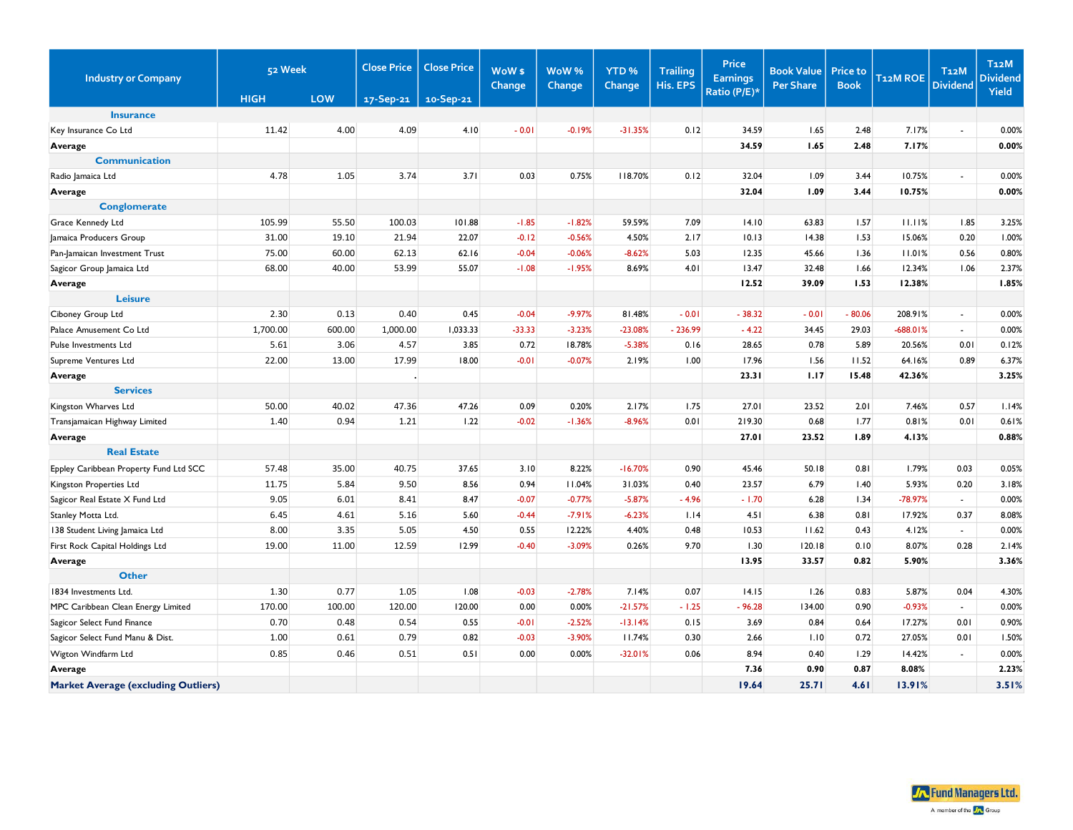| <b>Industry or Company</b>                 | 52 Week     |            | <b>Close Price</b> | <b>Close Price</b> | WoW \$   | WoW%     | YTD <sub>%</sub> | <b>Trailing</b> | <b>Price</b><br><b>Earnings</b> | <b>Book Value</b> | <b>Price to</b> | <b>T12MROE</b> | T <sub>12</sub> M | <b>T12M</b><br><b>Dividend</b> |
|--------------------------------------------|-------------|------------|--------------------|--------------------|----------|----------|------------------|-----------------|---------------------------------|-------------------|-----------------|----------------|-------------------|--------------------------------|
|                                            | <b>HIGH</b> | <b>LOW</b> | 17-Sep-21          | 10-Sep-21          | Change   | Change   | Change           | His. EPS        | Ratio (P/E)*                    | <b>Per Share</b>  | <b>Book</b>     |                | <b>Dividend</b>   | Yield                          |
| <b>Insurance</b>                           |             |            |                    |                    |          |          |                  |                 |                                 |                   |                 |                |                   |                                |
| Key Insurance Co Ltd                       | 11.42       | 4.00       | 4.09               | 4.10               | $-0.01$  | $-0.19%$ | $-31.35%$        | 0.12            | 34.59                           | 1.65              | 2.48            | 7.17%          |                   | 0.00%                          |
| Average                                    |             |            |                    |                    |          |          |                  |                 | 34.59                           | 1.65              | 2.48            | 7.17%          |                   | 0.00%                          |
| <b>Communication</b>                       |             |            |                    |                    |          |          |                  |                 |                                 |                   |                 |                |                   |                                |
| Radio Jamaica Ltd                          | 4.78        | 1.05       | 3.74               | 3.71               | 0.03     | 0.75%    | 118.70%          | 0.12            | 32.04                           | 1.09              | 3.44            | 10.75%         | ÷.                | 0.00%                          |
| Average                                    |             |            |                    |                    |          |          |                  |                 | 32.04                           | 1.09              | 3.44            | 10.75%         |                   | 0.00%                          |
| <b>Conglomerate</b>                        |             |            |                    |                    |          |          |                  |                 |                                 |                   |                 |                |                   |                                |
| Grace Kennedy Ltd                          | 105.99      | 55.50      | 100.03             | 101.88             | $-1.85$  | $-1.82%$ | 59.59%           | 7.09            | 14.10                           | 63.83             | 1.57            | 11.11%         | 1.85              | 3.25%                          |
| Jamaica Producers Group                    | 31.00       | 19.10      | 21.94              | 22.07              | $-0.12$  | $-0.56%$ | 4.50%            | 2.17            | 10.13                           | 14.38             | 1.53            | 15.06%         | 0.20              | 1.00%                          |
| Pan-Jamaican Investment Trust              | 75.00       | 60.00      | 62.13              | 62.16              | $-0.04$  | $-0.06%$ | $-8.62%$         | 5.03            | 12.35                           | 45.66             | 1.36            | 11.01%         | 0.56              | 0.80%                          |
| Sagicor Group Jamaica Ltd                  | 68.00       | 40.00      | 53.99              | 55.07              | $-1.08$  | $-1.95%$ | 8.69%            | 4.01            | 13.47                           | 32.48             | 1.66            | 12.34%         | 1.06              | 2.37%                          |
| Average                                    |             |            |                    |                    |          |          |                  |                 | 12.52                           | 39.09             | 1.53            | 12.38%         |                   | 1.85%                          |
| <b>Leisure</b>                             |             |            |                    |                    |          |          |                  |                 |                                 |                   |                 |                |                   |                                |
| Ciboney Group Ltd                          | 2.30        | 0.13       | 0.40               | 0.45               | $-0.04$  | $-9.97%$ | 81.48%           | $-0.01$         | $-38.32$                        | $-0.01$           | $-80.06$        | 208.91%        | $\sim$            | 0.00%                          |
| Palace Amusement Co Ltd                    | 1,700.00    | 600.00     | 1,000.00           | 1,033.33           | $-33.33$ | $-3.23%$ | $-23.08%$        | $-236.99$       | $-4.22$                         | 34.45             | 29.03           | $-688.01%$     | $\mathbb{R}^+$    | 0.00%                          |
| Pulse Investments Ltd                      | 5.61        | 3.06       | 4.57               | 3.85               | 0.72     | 18.78%   | $-5.38%$         | 0.16            | 28.65                           | 0.78              | 5.89            | 20.56%         | 0.01              | 0.12%                          |
| Supreme Ventures Ltd                       | 22.00       | 13.00      | 17.99              | 18.00              | $-0.01$  | $-0.07%$ | 2.19%            | 1.00            | 17.96                           | 1.56              | 11.52           | 64.16%         | 0.89              | 6.37%                          |
| Average                                    |             |            |                    |                    |          |          |                  |                 | 23.31                           | 1.17              | 15.48           | 42.36%         |                   | 3.25%                          |
| <b>Services</b>                            |             |            |                    |                    |          |          |                  |                 |                                 |                   |                 |                |                   |                                |
| Kingston Wharves Ltd                       | 50.00       | 40.02      | 47.36              | 47.26              | 0.09     | 0.20%    | 2.17%            | 1.75            | 27.01                           | 23.52             | 2.01            | 7.46%          | 0.57              | 1.14%                          |
| Transjamaican Highway Limited              | 1.40        | 0.94       | 1.21               | 1.22               | $-0.02$  | $-1.36%$ | $-8.96%$         | 0.01            | 219.30                          | 0.68              | 1.77            | 0.81%          | 0.01              | 0.61%                          |
| Average                                    |             |            |                    |                    |          |          |                  |                 | 27.01                           | 23.52             | 1.89            | 4.13%          |                   | 0.88%                          |
| <b>Real Estate</b>                         |             |            |                    |                    |          |          |                  |                 |                                 |                   |                 |                |                   |                                |
| Eppley Caribbean Property Fund Ltd SCC     | 57.48       | 35.00      | 40.75              | 37.65              | 3.10     | 8.22%    | $-16.70%$        | 0.90            | 45.46                           | 50.18             | 0.81            | 1.79%          | 0.03              | 0.05%                          |
| Kingston Properties Ltd                    | 11.75       | 5.84       | 9.50               | 8.56               | 0.94     | 11.04%   | 31.03%           | 0.40            | 23.57                           | 6.79              | 1.40            | 5.93%          | 0.20              | 3.18%                          |
| Sagicor Real Estate X Fund Ltd             | 9.05        | 6.01       | 8.41               | 8.47               | $-0.07$  | $-0.77%$ | $-5.87%$         | $-4.96$         | $-1.70$                         | 6.28              | 1.34            | $-78.97%$      | $\sim$            | 0.00%                          |
| Stanley Motta Ltd.                         | 6.45        | 4.61       | 5.16               | 5.60               | $-0.44$  | $-7.91%$ | $-6.23%$         | 1.14            | 4.51                            | 6.38              | 0.81            | 17.92%         | 0.37              | 8.08%                          |
| 138 Student Living Jamaica Ltd             | 8.00        | 3.35       | 5.05               | 4.50               | 0.55     | 12.22%   | 4.40%            | 0.48            | 10.53                           | 11.62             | 0.43            | 4.12%          | $\sim$            | 0.00%                          |
| First Rock Capital Holdings Ltd            | 19.00       | 11.00      | 12.59              | 12.99              | $-0.40$  | $-3.09%$ | 0.26%            | 9.70            | 1.30                            | 120.18            | 0.10            | 8.07%          | 0.28              | 2.14%                          |
| Average                                    |             |            |                    |                    |          |          |                  |                 | 13.95                           | 33.57             | 0.82            | 5.90%          |                   | 3.36%                          |
| <b>Other</b>                               |             |            |                    |                    |          |          |                  |                 |                                 |                   |                 |                |                   |                                |
| 1834 Investments Ltd.                      | 1.30        | 0.77       | 1.05               | 1.08               | $-0.03$  | $-2.78%$ | 7.14%            | 0.07            | 14.15                           | 1.26              | 0.83            | 5.87%          | 0.04              | 4.30%                          |
| MPC Caribbean Clean Energy Limited         | 170.00      | 100.00     | 120.00             | 120.00             | 0.00     | 0.00%    | $-21.57%$        | $-1.25$         | $-96.28$                        | 134.00            | 0.90            | $-0.93%$       | $\sim$            | 0.00%                          |
| Sagicor Select Fund Finance                | 0.70        | 0.48       | 0.54               | 0.55               | $-0.01$  | $-2.52%$ | $-13.14%$        | 0.15            | 3.69                            | 0.84              | 0.64            | 17.27%         | 0.01              | 0.90%                          |
| Sagicor Select Fund Manu & Dist.           | 1.00        | 0.61       | 0.79               | 0.82               | $-0.03$  | $-3.90%$ | 11.74%           | 0.30            | 2.66                            | 1.10              | 0.72            | 27.05%         | 0.01              | 1.50%                          |
| Wigton Windfarm Ltd                        | 0.85        | 0.46       | 0.51               | 0.51               | 0.00     | 0.00%    | $-32.01%$        | 0.06            | 8.94                            | 0.40              | 1.29            | 14.42%         | $\sim$            | 0.00%                          |
| Average                                    |             |            |                    |                    |          |          |                  |                 | 7.36                            | 0.90              | 0.87            | 8.08%          |                   | 2.23%                          |
| <b>Market Average (excluding Outliers)</b> |             |            |                    |                    |          |          |                  |                 | 19.64                           | 25.71             | 4.61            | 13.91%         |                   | 3.51%                          |

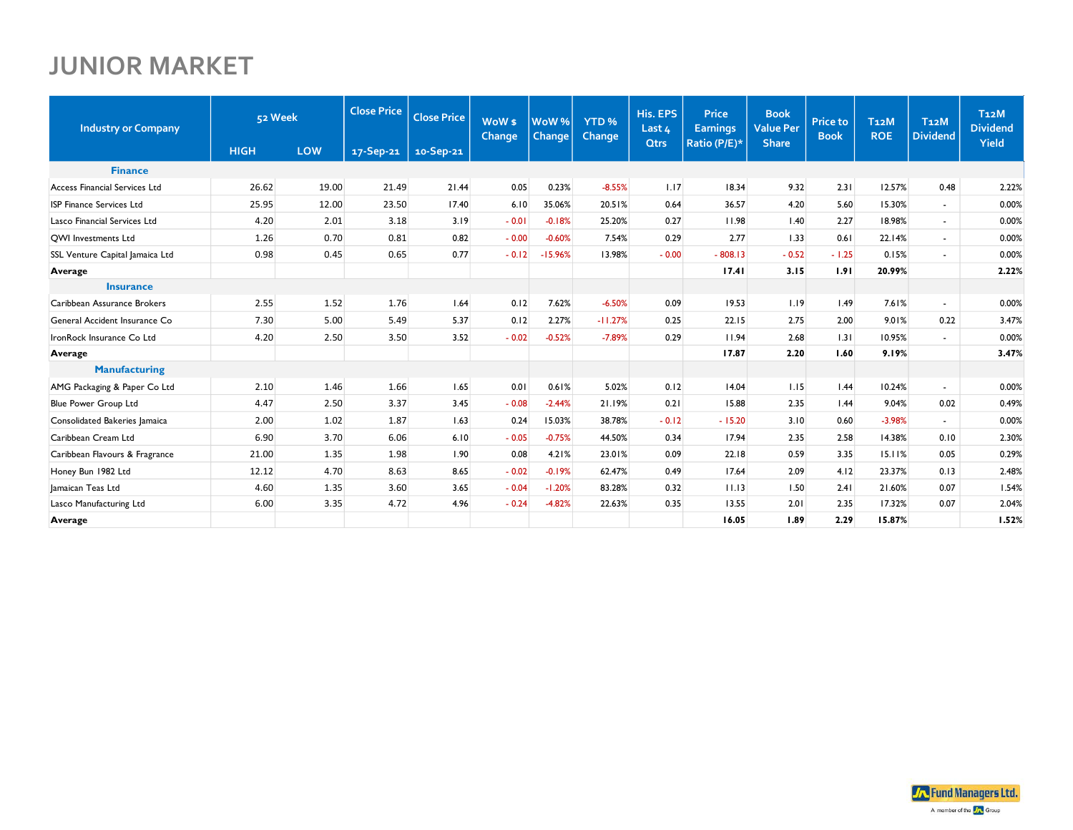## **JUNIOR MARKET**

| <b>Industry or Company</b>      |             | <b>Close Price</b><br>52 Week |           |           |         |           |           | <b>Close Price</b> | WoW <sub>\$</sub><br>Change | WoW <sup>%</sup><br>Change | YTD <sub>%</sub><br>Change | His. EPS<br>Last 4 | <b>Price</b><br><b>Earnings</b> | <b>Book</b><br><b>Value Per</b> | <b>Price to</b><br><b>Book</b> | T <sub>12</sub> M<br><b>ROE</b> | T <sub>12</sub> M<br><b>Dividend</b> | T <sub>12</sub> M<br><b>Dividend</b> |
|---------------------------------|-------------|-------------------------------|-----------|-----------|---------|-----------|-----------|--------------------|-----------------------------|----------------------------|----------------------------|--------------------|---------------------------------|---------------------------------|--------------------------------|---------------------------------|--------------------------------------|--------------------------------------|
|                                 | <b>HIGH</b> | LOW                           | 17-Sep-21 | 10-Sep-21 |         |           |           | <b>Qtrs</b>        | Ratio (P/E)*                | <b>Share</b>               |                            |                    |                                 | Yield                           |                                |                                 |                                      |                                      |
| <b>Finance</b>                  |             |                               |           |           |         |           |           |                    |                             |                            |                            |                    |                                 |                                 |                                |                                 |                                      |                                      |
| Access Financial Services Ltd   | 26.62       | 19.00                         | 21.49     | 21.44     | 0.05    | 0.23%     | $-8.55%$  | 1.17               | 18.34                       | 9.32                       | 2.31                       | 12.57%             | 0.48                            | 2.22%                           |                                |                                 |                                      |                                      |
| <b>ISP Finance Services Ltd</b> | 25.95       | 12.00                         | 23.50     | 17.40     | 6.10    | 35.06%    | 20.51%    | 0.64               | 36.57                       | 4.20                       | 5.60                       | 15.30%             | $\sim$                          | 0.00%                           |                                |                                 |                                      |                                      |
| Lasco Financial Services Ltd    | 4.20        | 2.01                          | 3.18      | 3.19      | $-0.01$ | $-0.18%$  | 25.20%    | 0.27               | 11.98                       | 1.40                       | 2.27                       | 18.98%             | $\sim$                          | 0.00%                           |                                |                                 |                                      |                                      |
| <b>QWI</b> Investments Ltd      | 1.26        | 0.70                          | 0.81      | 0.82      | $-0.00$ | $-0.60%$  | 7.54%     | 0.29               | 2.77                        | 1.33                       | 0.61                       | 22.14%             | $\sim$                          | 0.00%                           |                                |                                 |                                      |                                      |
| SSL Venture Capital Jamaica Ltd | 0.98        | 0.45                          | 0.65      | 0.77      | $-0.12$ | $-15.96%$ | 13.98%    | $-0.00$            | $-808.13$                   | $-0.52$                    | $-1.25$                    | 0.15%              | ÷.                              | 0.00%                           |                                |                                 |                                      |                                      |
| Average                         |             |                               |           |           |         |           |           |                    | 17.41                       | 3.15                       | 1.91                       | 20.99%             |                                 | 2.22%                           |                                |                                 |                                      |                                      |
| <b>Insurance</b>                |             |                               |           |           |         |           |           |                    |                             |                            |                            |                    |                                 |                                 |                                |                                 |                                      |                                      |
| Caribbean Assurance Brokers     | 2.55        | 1.52                          | 1.76      | 1.64      | 0.12    | 7.62%     | $-6.50%$  | 0.09               | 19.53                       | 1.19                       | 1.49                       | 7.61%              | $\sim$                          | 0.00%                           |                                |                                 |                                      |                                      |
| General Accident Insurance Co   | 7.30        | 5.00                          | 5.49      | 5.37      | 0.12    | 2.27%     | $-11.27%$ | 0.25               | 22.15                       | 2.75                       | 2.00                       | 9.01%              | 0.22                            | 3.47%                           |                                |                                 |                                      |                                      |
| IronRock Insurance Co Ltd       | 4.20        | 2.50                          | 3.50      | 3.52      | $-0.02$ | $-0.52%$  | $-7.89%$  | 0.29               | 11.94                       | 2.68                       | 1.31                       | 10.95%             | $\sim$                          | 0.00%                           |                                |                                 |                                      |                                      |
| Average                         |             |                               |           |           |         |           |           |                    | 17.87                       | 2.20                       | 1.60                       | 9.19%              |                                 | 3.47%                           |                                |                                 |                                      |                                      |
| <b>Manufacturing</b>            |             |                               |           |           |         |           |           |                    |                             |                            |                            |                    |                                 |                                 |                                |                                 |                                      |                                      |
| AMG Packaging & Paper Co Ltd    | 2.10        | 1.46                          | 1.66      | 1.65      | 0.01    | 0.61%     | 5.02%     | 0.12               | 14.04                       | 1.15                       | 1.44                       | 10.24%             | $\mathbf{r}$                    | 0.00%                           |                                |                                 |                                      |                                      |
| Blue Power Group Ltd            | 4.47        | 2.50                          | 3.37      | 3.45      | $-0.08$ | $-2.44%$  | 21.19%    | 0.21               | 15.88                       | 2.35                       | 1.44                       | 9.04%              | 0.02                            | 0.49%                           |                                |                                 |                                      |                                      |
| Consolidated Bakeries Jamaica   | 2.00        | 1.02                          | 1.87      | 1.63      | 0.24    | 15.03%    | 38.78%    | $-0.12$            | $-15.20$                    | 3.10                       | 0.60                       | $-3.98%$           | $\sim$                          | 0.00%                           |                                |                                 |                                      |                                      |
| Caribbean Cream Ltd             | 6.90        | 3.70                          | 6.06      | 6.10      | $-0.05$ | $-0.75%$  | 44.50%    | 0.34               | 17.94                       | 2.35                       | 2.58                       | 14.38%             | 0.10                            | 2.30%                           |                                |                                 |                                      |                                      |
| Caribbean Flavours & Fragrance  | 21.00       | 1.35                          | 1.98      | 1.90      | 0.08    | 4.21%     | 23.01%    | 0.09               | 22.18                       | 0.59                       | 3.35                       | 15.11%             | 0.05                            | 0.29%                           |                                |                                 |                                      |                                      |
| Honey Bun 1982 Ltd              | 12.12       | 4.70                          | 8.63      | 8.65      | $-0.02$ | $-0.19%$  | 62.47%    | 0.49               | 17.64                       | 2.09                       | 4.12                       | 23.37%             | 0.13                            | 2.48%                           |                                |                                 |                                      |                                      |
| Jamaican Teas Ltd               | 4.60        | 1.35                          | 3.60      | 3.65      | $-0.04$ | $-1.20%$  | 83.28%    | 0.32               | 11.13                       | 1.50                       | 2.41                       | 21.60%             | 0.07                            | 1.54%                           |                                |                                 |                                      |                                      |
| Lasco Manufacturing Ltd         | 6.00        | 3.35                          | 4.72      | 4.96      | $-0.24$ | $-4.82%$  | 22.63%    | 0.35               | 13.55                       | 2.01                       | 2.35                       | 17.32%             | 0.07                            | 2.04%                           |                                |                                 |                                      |                                      |
| Average                         |             |                               |           |           |         |           |           |                    | 16.05                       | 1.89                       | 2.29                       | 15.87%             |                                 | 1.52%                           |                                |                                 |                                      |                                      |

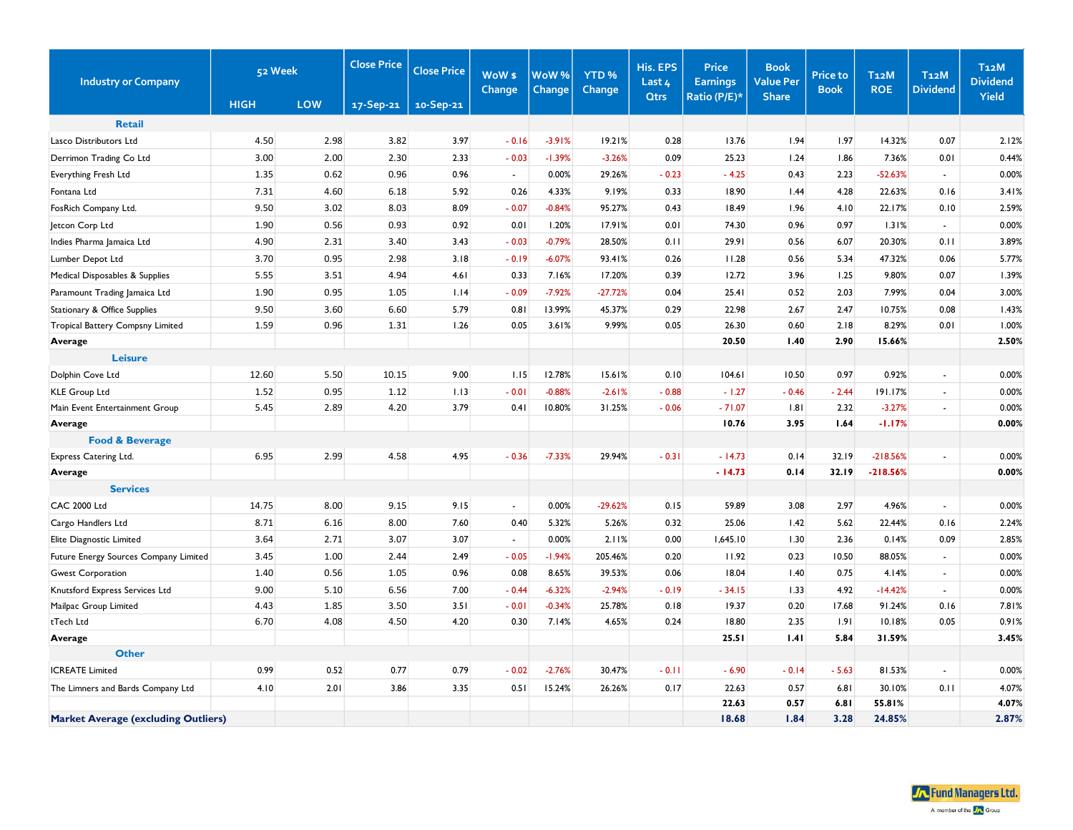| <b>Industry or Company</b>                 |             | 52 Week |           | <b>Close Price</b> | WoW <sub>\$</sub><br>Change | WoW%<br>Change | YTD <sub>%</sub><br>Change | His. EPS<br>Last 4 | <b>Price</b><br><b>Earnings</b> | <b>Book</b><br><b>Value Per</b> | <b>Price to</b><br><b>Book</b> | <b>T12M</b><br><b>ROE</b> | T <sub>12</sub> M<br><b>Dividend</b> | T <sub>12</sub> M<br><b>Dividend</b> |
|--------------------------------------------|-------------|---------|-----------|--------------------|-----------------------------|----------------|----------------------------|--------------------|---------------------------------|---------------------------------|--------------------------------|---------------------------|--------------------------------------|--------------------------------------|
|                                            | <b>HIGH</b> | LOW     | 17-Sep-21 | 10-Sep-21          |                             |                |                            | <b>Qtrs</b>        | Ratio (P/E)*                    | <b>Share</b>                    |                                |                           |                                      | Yield                                |
| <b>Retail</b>                              |             |         |           |                    |                             |                |                            |                    |                                 |                                 |                                |                           |                                      |                                      |
| Lasco Distributors Ltd                     | 4.50        | 2.98    | 3.82      | 3.97               | $-0.16$                     | $-3.91%$       | 19.21%                     | 0.28               | 13.76                           | 1.94                            | 1.97                           | 14.32%                    | 0.07                                 | 2.12%                                |
| Derrimon Trading Co Ltd                    | 3.00        | 2.00    | 2.30      | 2.33               | $-0.03$                     | $-1.39%$       | $-3.26%$                   | 0.09               | 25.23                           | 1.24                            | 1.86                           | 7.36%                     | 0.01                                 | 0.44%                                |
| Everything Fresh Ltd                       | 1.35        | 0.62    | 0.96      | 0.96               | $\sim$                      | 0.00%          | 29.26%                     | $-0.23$            | $-4.25$                         | 0.43                            | 2.23                           | $-52.63%$                 | $\sim$                               | 0.00%                                |
| Fontana Ltd                                | 7.31        | 4.60    | 6.18      | 5.92               | 0.26                        | 4.33%          | 9.19%                      | 0.33               | 18.90                           | 1.44                            | 4.28                           | 22.63%                    | 0.16                                 | 3.41%                                |
| FosRich Company Ltd.                       | 9.50        | 3.02    | 8.03      | 8.09               | $-0.07$                     | $-0.84%$       | 95.27%                     | 0.43               | 18.49                           | 1.96                            | 4.10                           | 22.17%                    | 0.10                                 | 2.59%                                |
| Jetcon Corp Ltd                            | 1.90        | 0.56    | 0.93      | 0.92               | 0.01                        | 1.20%          | 17.91%                     | 0.01               | 74.30                           | 0.96                            | 0.97                           | 1.31%                     | $\bullet$                            | 0.00%                                |
| Indies Pharma Jamaica Ltd                  | 4.90        | 2.31    | 3.40      | 3.43               | $-0.03$                     | $-0.79%$       | 28.50%                     | 0.11               | 29.91                           | 0.56                            | 6.07                           | 20.30%                    | 0.11                                 | 3.89%                                |
| Lumber Depot Ltd                           | 3.70        | 0.95    | 2.98      | 3.18               | $-0.19$                     | $-6.07%$       | 93.41%                     | 0.26               | 11.28                           | 0.56                            | 5.34                           | 47.32%                    | 0.06                                 | 5.77%                                |
| Medical Disposables & Supplies             | 5.55        | 3.51    | 4.94      | 4.61               | 0.33                        | 7.16%          | 17.20%                     | 0.39               | 12.72                           | 3.96                            | 1.25                           | 9.80%                     | 0.07                                 | 1.39%                                |
| Paramount Trading Jamaica Ltd              | 1.90        | 0.95    | 1.05      | 1.14               | $-0.09$                     | $-7.92%$       | $-27.72%$                  | 0.04               | 25.41                           | 0.52                            | 2.03                           | 7.99%                     | 0.04                                 | 3.00%                                |
| Stationary & Office Supplies               | 9.50        | 3.60    | 6.60      | 5.79               | 0.81                        | 13.99%         | 45.37%                     | 0.29               | 22.98                           | 2.67                            | 2.47                           | 10.75%                    | 0.08                                 | 1.43%                                |
| Tropical Battery Compsny Limited           | 1.59        | 0.96    | 1.31      | 1.26               | 0.05                        | 3.61%          | 9.99%                      | 0.05               | 26.30                           | 0.60                            | 2.18                           | 8.29%                     | 0.01                                 | 1.00%                                |
| Average                                    |             |         |           |                    |                             |                |                            |                    | 20.50                           | 1.40                            | 2.90                           | 15.66%                    |                                      | 2.50%                                |
| <b>Leisure</b>                             |             |         |           |                    |                             |                |                            |                    |                                 |                                 |                                |                           |                                      |                                      |
| Dolphin Cove Ltd                           | 12.60       | 5.50    | 10.15     | 9.00               | 1.15                        | 12.78%         | 15.61%                     | 0.10               | 104.61                          | 10.50                           | 0.97                           | 0.92%                     | $\sim$                               | 0.00%                                |
| KLE Group Ltd                              | 1.52        | 0.95    | 1.12      | 1.13               | $-0.01$                     | $-0.88%$       | $-2.61%$                   | $-0.88$            | $-1.27$                         | $-0.46$                         | $-2.44$                        | 191.17%                   | $\blacksquare$                       | 0.00%                                |
| Main Event Entertainment Group             | 5.45        | 2.89    | 4.20      | 3.79               | 0.41                        | 10.80%         | 31.25%                     | $-0.06$            | $-71.07$                        | 1.81                            | 2.32                           | $-3.27%$                  | ÷,                                   | 0.00%                                |
| Average                                    |             |         |           |                    |                             |                |                            |                    | 10.76                           | 3.95                            | 1.64                           | $-1.17%$                  |                                      | 0.00%                                |
| <b>Food &amp; Beverage</b>                 |             |         |           |                    |                             |                |                            |                    |                                 |                                 |                                |                           |                                      |                                      |
| Express Catering Ltd.                      | 6.95        | 2.99    | 4.58      | 4.95               | $-0.36$                     | $-7.33%$       | 29.94%                     | $-0.31$            | $-14.73$                        | 0.14                            | 32.19                          | $-218.56%$                |                                      | 0.00%                                |
| Average                                    |             |         |           |                    |                             |                |                            |                    | $-14.73$                        | 0.14                            | 32.19                          | $-218.56%$                |                                      | 0.00%                                |
| <b>Services</b>                            |             |         |           |                    |                             |                |                            |                    |                                 |                                 |                                |                           |                                      |                                      |
| <b>CAC 2000 Ltd</b>                        | 14.75       | 8.00    | 9.15      | 9.15               | $\sim$                      | 0.00%          | $-29.62%$                  | 0.15               | 59.89                           | 3.08                            | 2.97                           | 4.96%                     | $\sim$                               | 0.00%                                |
| Cargo Handlers Ltd                         | 8.71        | 6.16    | 8.00      | 7.60               | 0.40                        | 5.32%          | 5.26%                      | 0.32               | 25.06                           | 1.42                            | 5.62                           | 22.44%                    | 0.16                                 | 2.24%                                |
| Elite Diagnostic Limited                   | 3.64        | 2.71    | 3.07      | 3.07               | $\mathcal{L}$               | 0.00%          | 2.11%                      | 0.00               | 1,645.10                        | 1.30                            | 2.36                           | 0.14%                     | 0.09                                 | 2.85%                                |
| Future Energy Sources Company Limited      | 3.45        | 1.00    | 2.44      | 2.49               | $-0.05$                     | $-1.94%$       | 205.46%                    | 0.20               | 11.92                           | 0.23                            | 10.50                          | 88.05%                    | $\sim$                               | 0.00%                                |
| <b>Gwest Corporation</b>                   | 1.40        | 0.56    | 1.05      | 0.96               | 0.08                        | 8.65%          | 39.53%                     | 0.06               | 18.04                           | 1.40                            | 0.75                           | 4.14%                     | $\blacksquare$                       | 0.00%                                |
| Knutsford Express Services Ltd             | 9.00        | 5.10    | 6.56      | 7.00               | $-0.44$                     | $-6.32%$       | $-2.94%$                   | $-0.19$            | $-34.15$                        | 1.33                            | 4.92                           | $-14.42%$                 | $\mathbf{r}$                         | 0.00%                                |
| Mailpac Group Limited                      | 4.43        | 1.85    | 3.50      | 3.51               | $-0.01$                     | $-0.34%$       | 25.78%                     | 0.18               | 19.37                           | 0.20                            | 17.68                          | 91.24%                    | 0.16                                 | 7.81%                                |
| tTech Ltd                                  | 6.70        | 4.08    | 4.50      | 4.20               | 0.30                        | 7.14%          | 4.65%                      | 0.24               | 18.80                           | 2.35                            | 1.91                           | 10.18%                    | 0.05                                 | 0.91%                                |
| Average                                    |             |         |           |                    |                             |                |                            |                    | 25.51                           | 1.41                            | 5.84                           | 31.59%                    |                                      | 3.45%                                |
| <b>Other</b>                               |             |         |           |                    |                             |                |                            |                    |                                 |                                 |                                |                           |                                      |                                      |
| <b>ICREATE Limited</b>                     | 0.99        | 0.52    | 0.77      | 0.79               | $-0.02$                     | $-2.76%$       | 30.47%                     | $-0.11$            | $-6.90$                         | $-0.14$                         | $-5.63$                        | 81.53%                    | $\sim$                               | 0.00%                                |
| The Limners and Bards Company Ltd          | 4.10        | 2.01    | 3.86      | 3.35               | 0.51                        | 15.24%         | 26.26%                     | 0.17               | 22.63                           | 0.57                            | 6.81                           | 30.10%                    | 0.11                                 | 4.07%                                |
|                                            |             |         |           |                    |                             |                |                            |                    | 22.63                           | 0.57                            | 6.81                           | 55.81%                    |                                      | 4.07%                                |
| <b>Market Average (excluding Outliers)</b> |             |         |           |                    |                             |                |                            |                    | 18.68                           | 1.84                            | 3.28                           | 24.85%                    |                                      | 2.87%                                |